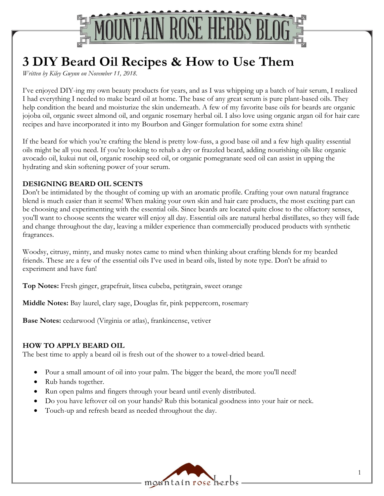

# **3 DIY Beard Oil Recipes & How to Use Them**

*Written by Kiley Gwynn on November 11, 2018.*

I've enjoyed DIY-ing my own beauty products for years, and as I was whipping up a batch of hair serum, I realized I had everything I needed to make beard oil at home. The base of any great serum is pure plant-based oils. They help condition the beard and moisturize the skin underneath. A few of my favorite base oils for beards are organic jojoba oil, organic sweet almond oil, and organic rosemary herbal oil. I also love using organic argan oil for hair care recipes and have incorporated it into my Bourbon and Ginger formulation for some extra shine!

If the beard for which you're crafting the blend is pretty low-fuss, a good base oil and a few high quality essential oils might be all you need. If you're looking to rehab a dry or frazzled beard, adding nourishing oils like organic avocado oil, kukui nut oil, organic rosehip seed oil, or organic pomegranate seed oil can assist in upping the hydrating and skin softening power of your serum.

#### **DESIGNING BEARD OIL SCENTS**

Don't be intimidated by the thought of coming up with an aromatic profile. Crafting your own natural fragrance blend is much easier than it seems! When making your own skin and hair care products, the most exciting part can be choosing and experimenting with the essential oils. Since beards are located quite close to the olfactory senses, you'll want to choose scents the wearer will enjoy all day. Essential oils are natural herbal distillates, so they will fade and change throughout the day, leaving a milder experience than commercially produced products with synthetic fragrances.

Woodsy, citrusy, minty, and musky notes came to mind when thinking about crafting blends for my bearded friends. These are a few of the essential oils I've used in beard oils, listed by note type. Don't be afraid to experiment and have fun!

**Top Notes:** Fresh ginger, grapefruit, litsea cubeba, petitgrain, sweet orange

**Middle Notes:** Bay laurel, clary sage, Douglas fir, pink peppercorn, rosemary

**Base Notes:** cedarwood (Virginia or atlas), frankincense, vetiver

#### **HOW TO APPLY BEARD OIL**

The best time to apply a beard oil is fresh out of the shower to a towel-dried beard.

- Pour a small amount of oil into your palm. The bigger the beard, the more you'll need!
- Rub hands together.
- Run open palms and fingers through your beard until evenly distributed.
- Do you have leftover oil on your hands? Rub this botanical goodness into your hair or neck.
- Touch-up and refresh beard as needed throughout the day.

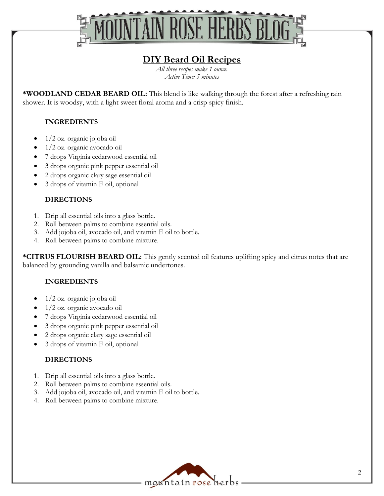

# **DIY Beard Oil Recipes**

*All three recipes make 1 ounce. Active Time: 5 minutes*

**\*WOODLAND CEDAR BEARD OIL:** This blend is like walking through the forest after a refreshing rain shower. It is woodsy, with a light sweet floral aroma and a crisp spicy finish.

#### **INGREDIENTS**

- 1/2 oz. organic jojoba oil
- 1/2 oz. organic avocado oil
- 7 drops Virginia cedarwood essential oil
- 3 drops organic pink pepper essential oil
- 2 drops organic clary sage essential oil
- 3 drops of vitamin E oil, optional

#### **DIRECTIONS**

- 1. Drip all essential oils into a glass bottle.
- 2. Roll between palms to combine essential oils.
- 3. Add jojoba oil, avocado oil, and vitamin E oil to bottle.
- 4. Roll between palms to combine mixture.

**\*CITRUS FLOURISH BEARD OIL:** This gently scented oil features uplifting spicy and citrus notes that are balanced by grounding vanilla and balsamic undertones.

#### **INGREDIENTS**

- 1/2 oz. organic jojoba oil
- 1/2 oz. organic avocado oil
- 7 drops Virginia cedarwood essential oil
- 3 drops organic pink pepper essential oil
- 2 drops organic clary sage essential oil
- 3 drops of vitamin E oil, optional

# **DIRECTIONS**

- 1. Drip all essential oils into a glass bottle.
- 2. Roll between palms to combine essential oils.
- 3. Add jojoba oil, avocado oil, and vitamin E oil to bottle.
- 4. Roll between palms to combine mixture.